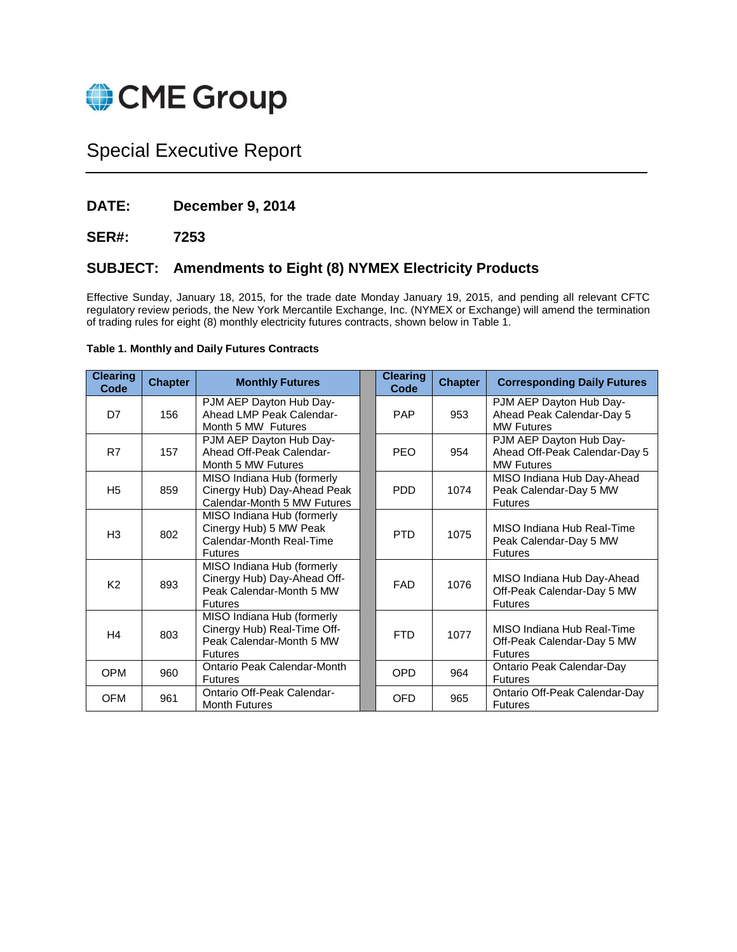

# Special Executive Report

# **DATE: December 9, 2014**

# **SER#: 7253**

# **SUBJECT: Amendments to Eight (8) NYMEX Electricity Products**

Effective Sunday, January 18, 2015, for the trade date Monday January 19, 2015, and pending all relevant CFTC regulatory review periods, the New York Mercantile Exchange, Inc. (NYMEX or Exchange) will amend the termination of trading rules for eight (8) monthly electricity futures contracts, shown below in Table 1.

# **Table 1. Monthly and Daily Futures Contracts**

| <b>Clearing</b><br>Code | <b>Chapter</b> | <b>Monthly Futures</b>                                                                                  | <b>Clearing</b><br>Code | <b>Chapter</b> | <b>Corresponding Daily Futures</b>                                            |
|-------------------------|----------------|---------------------------------------------------------------------------------------------------------|-------------------------|----------------|-------------------------------------------------------------------------------|
| D <sub>7</sub>          | 156            | PJM AEP Dayton Hub Day-<br>Ahead LMP Peak Calendar-<br>Month 5 MW Futures                               | <b>PAP</b>              | 953            | PJM AEP Dayton Hub Day-<br>Ahead Peak Calendar-Day 5<br><b>MW Futures</b>     |
| R7                      | 157            | PJM AEP Dayton Hub Day-<br>Ahead Off-Peak Calendar-<br>Month 5 MW Futures                               | <b>PFO</b>              | 954            | PJM AEP Dayton Hub Day-<br>Ahead Off-Peak Calendar-Day 5<br><b>MW Futures</b> |
| H <sub>5</sub>          | 859            | MISO Indiana Hub (formerly<br>Cinergy Hub) Day-Ahead Peak<br>Calendar-Month 5 MW Futures                | <b>PDD</b>              | 1074           | MISO Indiana Hub Day-Ahead<br>Peak Calendar-Day 5 MW<br><b>Futures</b>        |
| H <sub>3</sub>          | 802            | MISO Indiana Hub (formerly<br>Cinergy Hub) 5 MW Peak<br>Calendar-Month Real-Time<br><b>Futures</b>      | <b>PTD</b>              | 1075           | MISO Indiana Hub Real-Time<br>Peak Calendar-Day 5 MW<br><b>Futures</b>        |
| K <sub>2</sub>          | 893            | MISO Indiana Hub (formerly<br>Cinergy Hub) Day-Ahead Off-<br>Peak Calendar-Month 5 MW<br><b>Futures</b> | <b>FAD</b>              | 1076           | MISO Indiana Hub Day-Ahead<br>Off-Peak Calendar-Day 5 MW<br><b>Futures</b>    |
| H <sub>4</sub>          | 803            | MISO Indiana Hub (formerly<br>Cinergy Hub) Real-Time Off-<br>Peak Calendar-Month 5 MW<br><b>Futures</b> | <b>FTD</b>              | 1077           | MISO Indiana Hub Real-Time<br>Off-Peak Calendar-Day 5 MW<br><b>Futures</b>    |
| OPM                     | 960            | Ontario Peak Calendar-Month<br><b>Futures</b>                                                           | OPD                     | 964            | Ontario Peak Calendar-Day<br><b>Futures</b>                                   |
| <b>OFM</b>              | 961            | Ontario Off-Peak Calendar-<br><b>Month Futures</b>                                                      | <b>OFD</b>              | 965            | Ontario Off-Peak Calendar-Day<br><b>Futures</b>                               |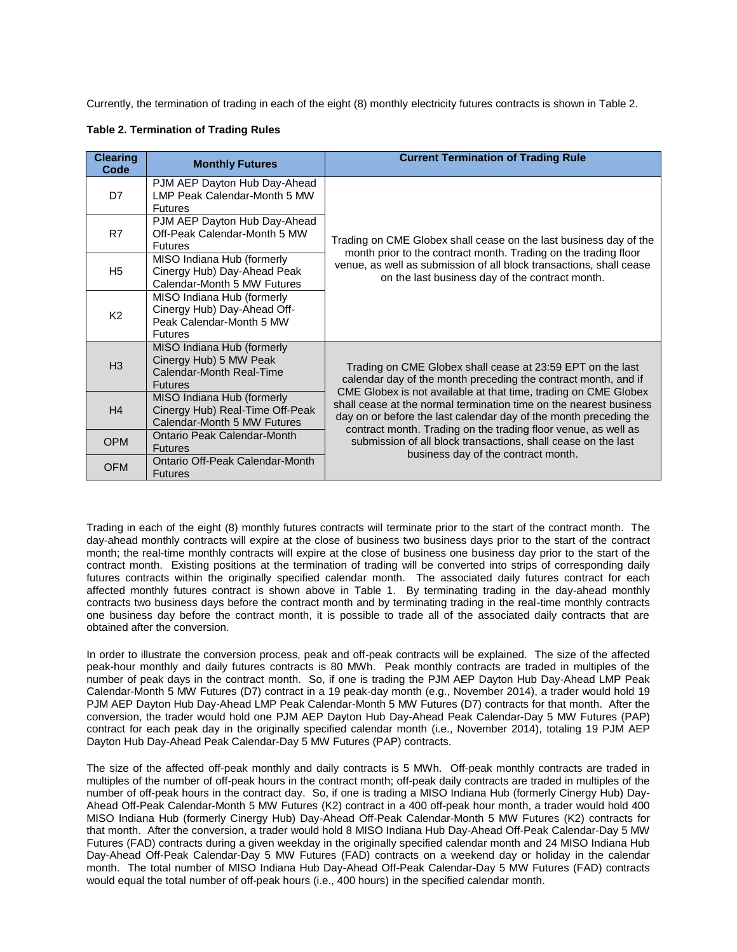Currently, the termination of trading in each of the eight (8) monthly electricity futures contracts is shown in Table 2.

|  | <b>Table 2. Termination of Trading Rules</b> |  |  |
|--|----------------------------------------------|--|--|
|--|----------------------------------------------|--|--|

| <b>Clearing</b><br>Code | <b>Monthly Futures</b>                                                                                  | <b>Current Termination of Trading Rule</b>                                                                                                                                                                 |  |  |
|-------------------------|---------------------------------------------------------------------------------------------------------|------------------------------------------------------------------------------------------------------------------------------------------------------------------------------------------------------------|--|--|
| D7                      | PJM AEP Dayton Hub Day-Ahead<br>LMP Peak Calendar-Month 5 MW<br><b>Futures</b>                          |                                                                                                                                                                                                            |  |  |
| R7                      | PJM AEP Dayton Hub Day-Ahead<br>Off-Peak Calendar-Month 5 MW<br><b>Futures</b>                          | Trading on CME Globex shall cease on the last business day of the                                                                                                                                          |  |  |
| H <sub>5</sub>          | MISO Indiana Hub (formerly<br>Cinergy Hub) Day-Ahead Peak<br>Calendar-Month 5 MW Futures                | month prior to the contract month. Trading on the trading floor<br>venue, as well as submission of all block transactions, shall cease<br>on the last business day of the contract month.                  |  |  |
| K <sub>2</sub>          | MISO Indiana Hub (formerly<br>Cinergy Hub) Day-Ahead Off-<br>Peak Calendar-Month 5 MW<br><b>Futures</b> |                                                                                                                                                                                                            |  |  |
| H <sub>3</sub>          | MISO Indiana Hub (formerly<br>Cinergy Hub) 5 MW Peak<br>Calendar-Month Real-Time<br><b>Futures</b>      | Trading on CME Globex shall cease at 23:59 EPT on the last<br>calendar day of the month preceding the contract month, and if                                                                               |  |  |
| H4                      | MISO Indiana Hub (formerly<br>Cinergy Hub) Real-Time Off-Peak<br>Calendar-Month 5 MW Futures            | CME Globex is not available at that time, trading on CME Globex<br>shall cease at the normal termination time on the nearest business<br>day on or before the last calendar day of the month preceding the |  |  |
| <b>OPM</b>              | Ontario Peak Calendar-Month<br><b>Futures</b>                                                           | contract month. Trading on the trading floor venue, as well as<br>submission of all block transactions, shall cease on the last<br>business day of the contract month.                                     |  |  |
| <b>OFM</b>              | Ontario Off-Peak Calendar-Month<br><b>Futures</b>                                                       |                                                                                                                                                                                                            |  |  |

Trading in each of the eight (8) monthly futures contracts will terminate prior to the start of the contract month. The day-ahead monthly contracts will expire at the close of business two business days prior to the start of the contract month; the real-time monthly contracts will expire at the close of business one business day prior to the start of the contract month. Existing positions at the termination of trading will be converted into strips of corresponding daily futures contracts within the originally specified calendar month. The associated daily futures contract for each affected monthly futures contract is shown above in Table 1. By terminating trading in the day-ahead monthly contracts two business days before the contract month and by terminating trading in the real-time monthly contracts one business day before the contract month, it is possible to trade all of the associated daily contracts that are obtained after the conversion.

In order to illustrate the conversion process, peak and off-peak contracts will be explained. The size of the affected peak-hour monthly and daily futures contracts is 80 MWh. Peak monthly contracts are traded in multiples of the number of peak days in the contract month. So, if one is trading the PJM AEP Dayton Hub Day-Ahead LMP Peak Calendar-Month 5 MW Futures (D7) contract in a 19 peak-day month (e.g., November 2014), a trader would hold 19 PJM AEP Dayton Hub Day-Ahead LMP Peak Calendar-Month 5 MW Futures (D7) contracts for that month. After the conversion, the trader would hold one PJM AEP Dayton Hub Day-Ahead Peak Calendar-Day 5 MW Futures (PAP) contract for each peak day in the originally specified calendar month (i.e., November 2014), totaling 19 PJM AEP Dayton Hub Day-Ahead Peak Calendar-Day 5 MW Futures (PAP) contracts.

The size of the affected off-peak monthly and daily contracts is 5 MWh. Off-peak monthly contracts are traded in multiples of the number of off-peak hours in the contract month; off-peak daily contracts are traded in multiples of the number of off-peak hours in the contract day. So, if one is trading a MISO Indiana Hub (formerly Cinergy Hub) Day-Ahead Off-Peak Calendar-Month 5 MW Futures (K2) contract in a 400 off-peak hour month, a trader would hold 400 MISO Indiana Hub (formerly Cinergy Hub) Day-Ahead Off-Peak Calendar-Month 5 MW Futures (K2) contracts for that month. After the conversion, a trader would hold 8 MISO Indiana Hub Day-Ahead Off-Peak Calendar-Day 5 MW Futures (FAD) contracts during a given weekday in the originally specified calendar month and 24 MISO Indiana Hub Day-Ahead Off-Peak Calendar-Day 5 MW Futures (FAD) contracts on a weekend day or holiday in the calendar month. The total number of MISO Indiana Hub Day-Ahead Off-Peak Calendar-Day 5 MW Futures (FAD) contracts would equal the total number of off-peak hours (i.e., 400 hours) in the specified calendar month.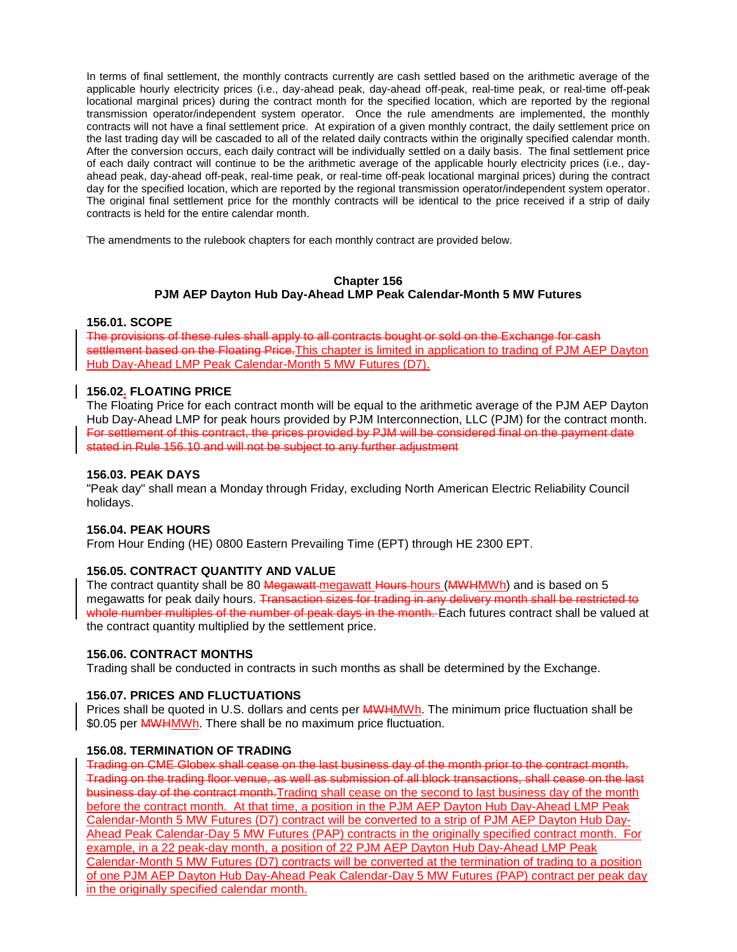In terms of final settlement, the monthly contracts currently are cash settled based on the arithmetic average of the applicable hourly electricity prices (i.e., day-ahead peak, day-ahead off-peak, real-time peak, or real-time off-peak locational marginal prices) during the contract month for the specified location, which are reported by the regional transmission operator/independent system operator. Once the rule amendments are implemented, the monthly contracts will not have a final settlement price. At expiration of a given monthly contract, the daily settlement price on the last trading day will be cascaded to all of the related daily contracts within the originally specified calendar month. After the conversion occurs, each daily contract will be individually settled on a daily basis. The final settlement price of each daily contract will continue to be the arithmetic average of the applicable hourly electricity prices (i.e., dayahead peak, day-ahead off-peak, real-time peak, or real-time off-peak locational marginal prices) during the contract day for the specified location, which are reported by the regional transmission operator/independent system operator. The original final settlement price for the monthly contracts will be identical to the price received if a strip of daily contracts is held for the entire calendar month.

The amendments to the rulebook chapters for each monthly contract are provided below.

# **Chapter 156 PJM AEP Dayton Hub Day-Ahead LMP Peak Calendar-Month 5 MW Futures**

### **156.01. SCOPE**

The provisions of these rules shall apply to all contracts bought or sold on the Exchange for cash settlement based on the Floating Price. This chapter is limited in application to trading of PJM AEP Dayton Hub Day-Ahead LMP Peak Calendar-Month 5 MW Futures (D7).

### **156.02. FLOATING PRICE**

The Floating Price for each contract month will be equal to the arithmetic average of the PJM AEP Dayton Hub Day-Ahead LMP for peak hours provided by PJM Interconnection, LLC (PJM) for the contract month. For settlement of this contract, the prices provided by PJM will be considered final on the payment date stated in Rule 156.10 and will not be subject to any further adjustment

### **156.03. PEAK DAYS**

"Peak day" shall mean a Monday through Friday, excluding North American Electric Reliability Council holidays.

# **156.04. PEAK HOURS**

From Hour Ending (HE) 0800 Eastern Prevailing Time (EPT) through HE 2300 EPT.

# **156.05. CONTRACT QUANTITY AND VALUE**

The contract quantity shall be 80 Megawatt-megawatt Hours hours (MWHMWh) and is based on 5 megawatts for peak daily hours. Transaction sizes for trading in any delivery month shall be restricted to whole number multiples of the number of peak days in the month. Each futures contract shall be valued at the contract quantity multiplied by the settlement price.

# **156.06. CONTRACT MONTHS**

Trading shall be conducted in contracts in such months as shall be determined by the Exchange.

# **156.07. PRICES AND FLUCTUATIONS**

Prices shall be quoted in U.S. dollars and cents per **MWHMWh**. The minimum price fluctuation shall be \$0.05 per **MWHMWh**. There shall be no maximum price fluctuation.

### **156.08. TERMINATION OF TRADING**

Trading on CME Globex shall cease on the last business day of the month prior to the contract month. Trading on the trading floor venue, as well as submission of all block transactions, shall cease on the last business day of the contract month.Trading shall cease on the second to last business day of the month before the contract month. At that time, a position in the PJM AEP Dayton Hub Day-Ahead LMP Peak Calendar-Month 5 MW Futures (D7) contract will be converted to a strip of PJM AEP Dayton Hub Day-Ahead Peak Calendar-Day 5 MW Futures (PAP) contracts in the originally specified contract month. For example, in a 22 peak-day month, a position of 22 PJM AEP Dayton Hub Day-Ahead LMP Peak Calendar-Month 5 MW Futures (D7) contracts will be converted at the termination of trading to a position of one PJM AEP Dayton Hub Day-Ahead Peak Calendar-Day 5 MW Futures (PAP) contract per peak day in the originally specified calendar month.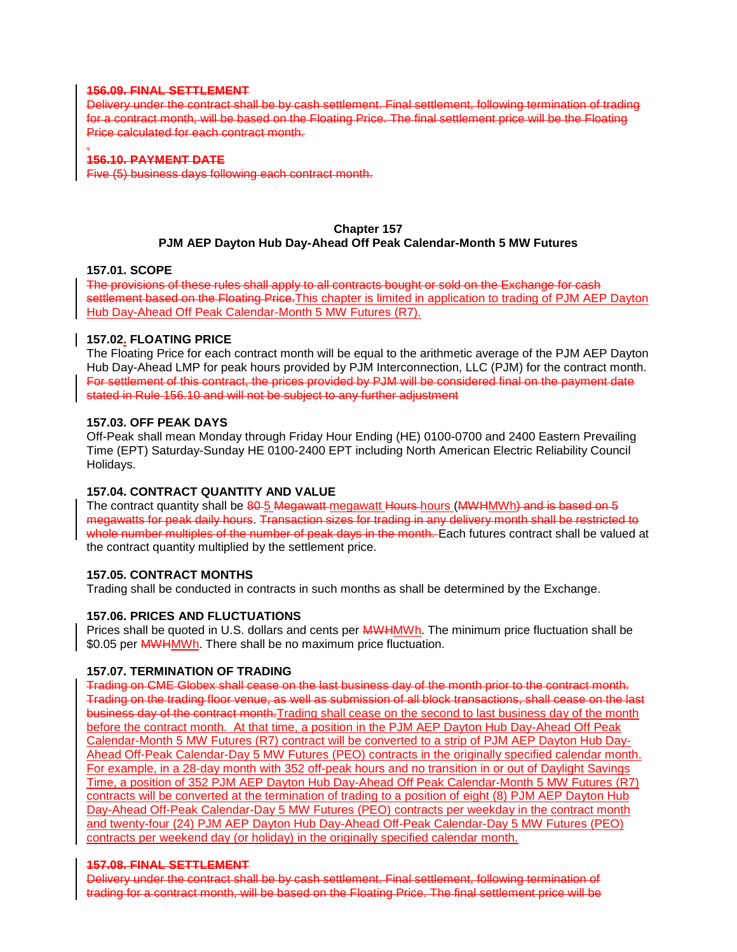### **156.09. FINAL SETTLEMENT**

Delivery under the contract shall be by cash settlement. Final settlement, following termination of trading for a contract month, will be based on the Floating Price. The final settlement price will be the Floating Price calculated for each contract month.

#### . **156.10. PAYMENT DATE**

Five (5) business days following each contract month.

# **Chapter 157 PJM AEP Dayton Hub Day-Ahead Off Peak Calendar-Month 5 MW Futures**

### **157.01. SCOPE**

The provisions of these rules shall apply to all contracts bought or sold on the Exchange for cash settlement based on the Floating Price. This chapter is limited in application to trading of PJM AEP Dayton Hub Day-Ahead Off Peak Calendar-Month 5 MW Futures (R7).

### **157.02. FLOATING PRICE**

The Floating Price for each contract month will be equal to the arithmetic average of the PJM AEP Dayton Hub Day-Ahead LMP for peak hours provided by PJM Interconnection, LLC (PJM) for the contract month. For settlement of this contract, the prices provided by PJM will be considered final on the payment date stated in Rule 156.10 and will not be subject to any further adjustment

### **157.03. OFF PEAK DAYS**

Off-Peak shall mean Monday through Friday Hour Ending (HE) 0100-0700 and 2400 Eastern Prevailing Time (EPT) Saturday-Sunday HE 0100-2400 EPT including North American Electric Reliability Council Holidays.

# **157.04. CONTRACT QUANTITY AND VALUE**

The contract quantity shall be 80-5 Megawatt-megawatt Hours-hours (MWHMWh) and is based on 5 megawatts for peak daily hours. Transaction sizes for trading in any delivery month shall be restricted to whole number multiples of the number of peak days in the month. Each futures contract shall be valued at the contract quantity multiplied by the settlement price.

# **157.05. CONTRACT MONTHS**

Trading shall be conducted in contracts in such months as shall be determined by the Exchange.

# **157.06. PRICES AND FLUCTUATIONS**

Prices shall be quoted in U.S. dollars and cents per **MWHMWh**. The minimum price fluctuation shall be \$0.05 per MWHMWh. There shall be no maximum price fluctuation.

### **157.07. TERMINATION OF TRADING**

Trading on CME Globex shall cease on the last business day of the month prior to the contract month. Trading on the trading floor venue, as well as submission of all block transactions, shall cease on the last business day of the contract month.Trading shall cease on the second to last business day of the month before the contract month. At that time, a position in the PJM AEP Dayton Hub Day-Ahead Off Peak Calendar-Month 5 MW Futures (R7) contract will be converted to a strip of PJM AEP Dayton Hub Day-Ahead Off-Peak Calendar-Day 5 MW Futures (PEO) contracts in the originally specified calendar month. For example, in a 28-day month with 352 off-peak hours and no transition in or out of Daylight Savings Time, a position of 352 PJM AEP Dayton Hub Day-Ahead Off Peak Calendar-Month 5 MW Futures (R7) contracts will be converted at the termination of trading to a position of eight (8) PJM AEP Dayton Hub Day-Ahead Off-Peak Calendar-Day 5 MW Futures (PEO) contracts per weekday in the contract month and twenty-four (24) PJM AEP Dayton Hub Day-Ahead Off-Peak Calendar-Day 5 MW Futures (PEO) contracts per weekend day (or holiday) in the originally specified calendar month.

### **157.08. FINAL SETTLEMENT**

Delivery under the contract shall be by cash settlement. Final settlement, following termination of trading for a contract month, will be based on the Floating Price. The final settlement price will be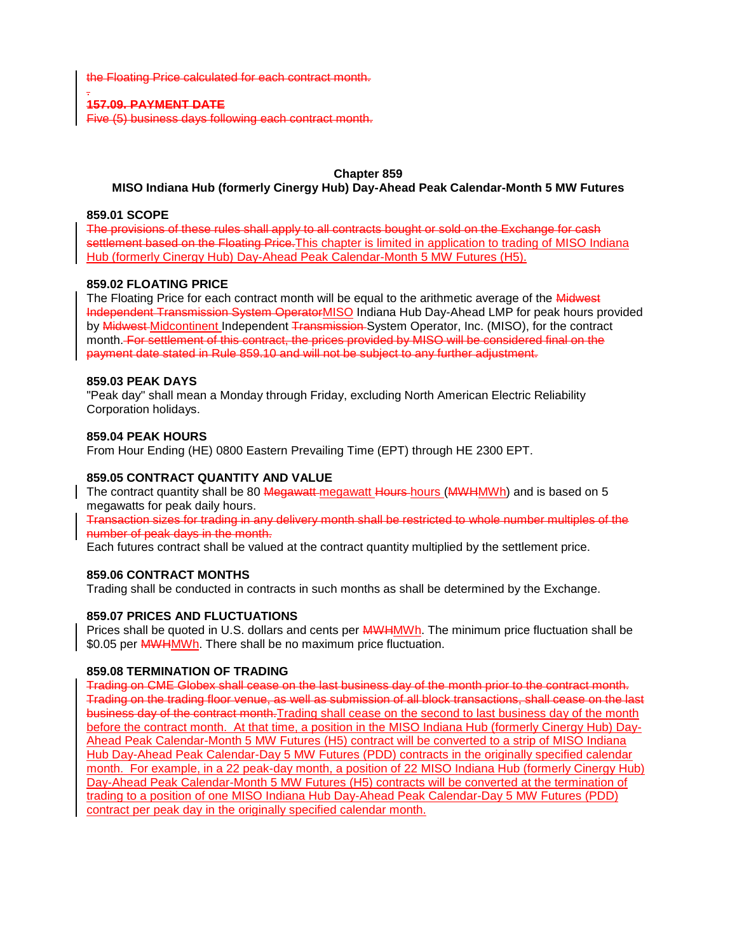the Floating Price calculated for each contract month.

#### . **157.09. PAYMENT DATE**

Five (5) business days following each contract month.

# **Chapter 859**

### **MISO Indiana Hub (formerly Cinergy Hub) Day-Ahead Peak Calendar-Month 5 MW Futures**

### **859.01 SCOPE**

The provisions of these rules shall apply to all contracts bought or sold on the Exchange for cash settlement based on the Floating Price. This chapter is limited in application to trading of MISO Indiana Hub (formerly Cinergy Hub) Day-Ahead Peak Calendar-Month 5 MW Futures (H5).

# **859.02 FLOATING PRICE**

The Floating Price for each contract month will be equal to the arithmetic average of the Midwest Independent Transmission System OperatorMISO Indiana Hub Day-Ahead LMP for peak hours provided by Midwest-Midcontinent Independent Transmission-System Operator, Inc. (MISO), for the contract month. For settlement of this contract, the prices provided by MISO will be considered final on the payment date stated in Rule 859.10 and will not be subject to any further adjustment.

### **859.03 PEAK DAYS**

"Peak day" shall mean a Monday through Friday, excluding North American Electric Reliability Corporation holidays.

### **859.04 PEAK HOURS**

From Hour Ending (HE) 0800 Eastern Prevailing Time (EPT) through HE 2300 EPT.

# **859.05 CONTRACT QUANTITY AND VALUE**

The contract quantity shall be 80 Megawatt-megawatt Hours hours (MWHMWh) and is based on 5 megawatts for peak daily hours.

Transaction sizes for trading in any delivery month shall be restricted to whole number multiples of the number of peak days in the month.

Each futures contract shall be valued at the contract quantity multiplied by the settlement price.

# **859.06 CONTRACT MONTHS**

Trading shall be conducted in contracts in such months as shall be determined by the Exchange.

# **859.07 PRICES AND FLUCTUATIONS**

Prices shall be quoted in U.S. dollars and cents per **MWHMWh**. The minimum price fluctuation shall be \$0.05 per **MWHMWh**. There shall be no maximum price fluctuation.

### **859.08 TERMINATION OF TRADING**

Trading on CME Globex shall cease on the last business day of the month prior to the contract month. Trading on the trading floor venue, as well as submission of all block transactions, shall cease on the last business day of the contract month.Trading shall cease on the second to last business day of the month before the contract month. At that time, a position in the MISO Indiana Hub (formerly Cinergy Hub) Day-Ahead Peak Calendar-Month 5 MW Futures (H5) contract will be converted to a strip of MISO Indiana Hub Day-Ahead Peak Calendar-Day 5 MW Futures (PDD) contracts in the originally specified calendar month. For example, in a 22 peak-day month, a position of 22 MISO Indiana Hub (formerly Cinergy Hub) Day-Ahead Peak Calendar-Month 5 MW Futures (H5) contracts will be converted at the termination of trading to a position of one MISO Indiana Hub Day-Ahead Peak Calendar-Day 5 MW Futures (PDD) contract per peak day in the originally specified calendar month.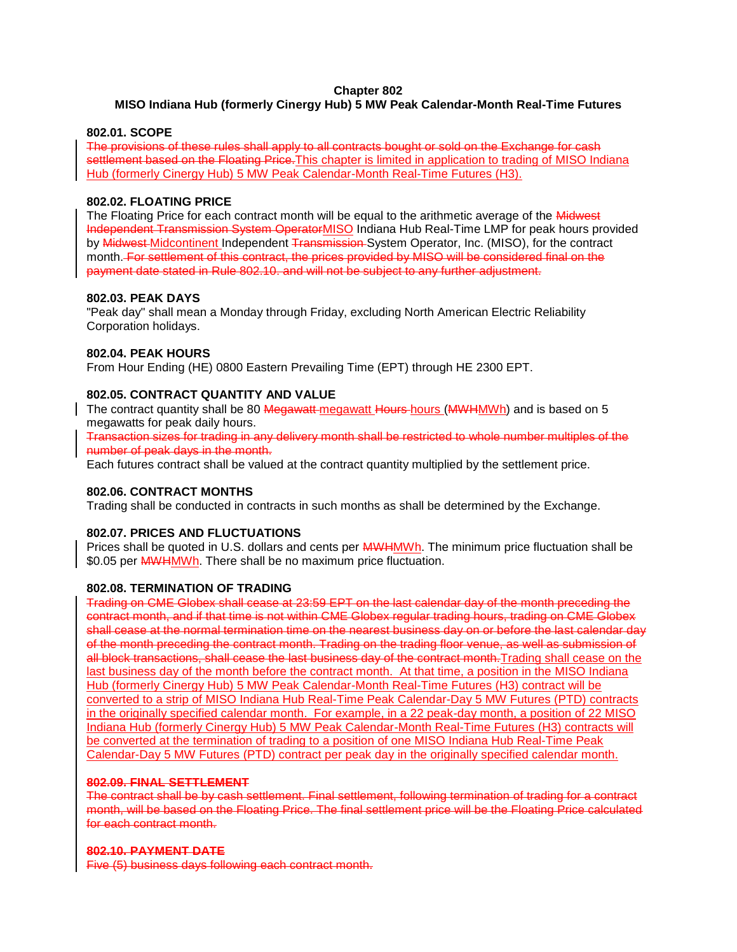# **Chapter 802**

# **MISO Indiana Hub (formerly Cinergy Hub) 5 MW Peak Calendar-Month Real-Time Futures**

### **802.01. SCOPE**

The provisions of these rules shall apply to all contracts bought or sold on the Exchange for cash settlement based on the Floating Price. This chapter is limited in application to trading of MISO Indiana Hub (formerly Cinergy Hub) 5 MW Peak Calendar-Month Real-Time Futures (H3).

# **802.02. FLOATING PRICE**

The Floating Price for each contract month will be equal to the arithmetic average of the Midwest Independent Transmission System OperatorMISO Indiana Hub Real-Time LMP for peak hours provided by Midwest-Midcontinent Independent Transmission-System Operator, Inc. (MISO), for the contract month. For settlement of this contract, the prices provided by MISO will be considered final on the payment date stated in Rule 802.10. and will not be subject to any further adjustment.

### **802.03. PEAK DAYS**

"Peak day" shall mean a Monday through Friday, excluding North American Electric Reliability Corporation holidays.

# **802.04. PEAK HOURS**

From Hour Ending (HE) 0800 Eastern Prevailing Time (EPT) through HE 2300 EPT.

### **802.05. CONTRACT QUANTITY AND VALUE**

The contract quantity shall be 80 Megawatt-megawatt Hours in MWHMWh) and is based on 5 megawatts for peak daily hours.

Transaction sizes for trading in any delivery month shall be restricted to whole number multiples of the number of peak days in the month.

Each futures contract shall be valued at the contract quantity multiplied by the settlement price.

# **802.06. CONTRACT MONTHS**

Trading shall be conducted in contracts in such months as shall be determined by the Exchange.

### **802.07. PRICES AND FLUCTUATIONS**

Prices shall be quoted in U.S. dollars and cents per **MWHMWh**. The minimum price fluctuation shall be \$0.05 per **MWHMWh**. There shall be no maximum price fluctuation.

# **802.08. TERMINATION OF TRADING**

Trading on CME Globex shall cease at 23:59 EPT on the last calendar day of the month preceding the contract month, and if that time is not within CME Globex regular trading hours, trading on CME Globex shall cease at the normal termination time on the nearest business day on or before the last calendar day of the month preceding the contract month. Trading on the trading floor venue, as well as submission of all block transactions, shall cease the last business day of the contract month. Trading shall cease on the last business day of the month before the contract month. At that time, a position in the MISO Indiana Hub (formerly Cinergy Hub) 5 MW Peak Calendar-Month Real-Time Futures (H3) contract will be converted to a strip of MISO Indiana Hub Real-Time Peak Calendar-Day 5 MW Futures (PTD) contracts in the originally specified calendar month. For example, in a 22 peak-day month, a position of 22 MISO Indiana Hub (formerly Cinergy Hub) 5 MW Peak Calendar-Month Real-Time Futures (H3) contracts will be converted at the termination of trading to a position of one MISO Indiana Hub Real-Time Peak Calendar-Day 5 MW Futures (PTD) contract per peak day in the originally specified calendar month.

### **802.09. FINAL SETTLEMENT**

The contract shall be by cash settlement. Final settlement, following termination of trading for a contract month, will be based on the Floating Price. The final settlement price will be the Floating Price calculated for each contract month.

### **802.10. PAYMENT DATE**

Five (5) business days following each contract month.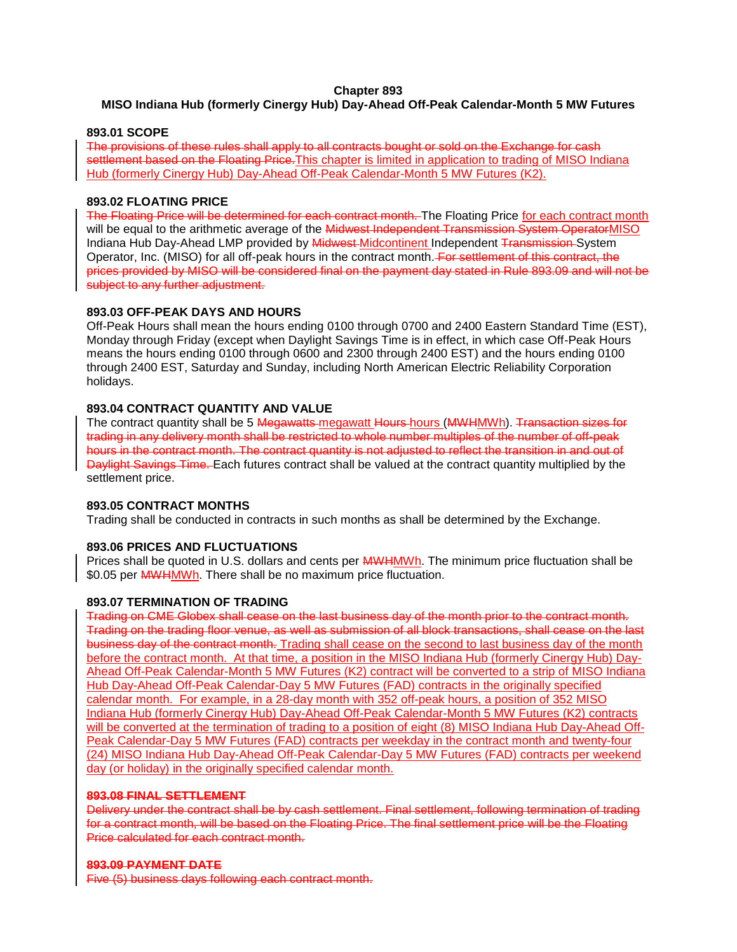### **Chapter 893**

# **MISO Indiana Hub (formerly Cinergy Hub) Day-Ahead Off-Peak Calendar-Month 5 MW Futures**

### **893.01 SCOPE**

The provisions of these rules shall apply to all contracts bought or sold on the Exchange for cash settlement based on the Floating Price. This chapter is limited in application to trading of MISO Indiana Hub (formerly Cinergy Hub) Day-Ahead Off-Peak Calendar-Month 5 MW Futures (K2).

### **893.02 FLOATING PRICE**

The Floating Price will be determined for each contract month. The Floating Price for each contract month will be equal to the arithmetic average of the Midwest Independent Transmission System OperatorMISO Indiana Hub Day-Ahead LMP provided by **Midwest Midcontinent Independent Transmission** System Operator, Inc. (MISO) for all off-peak hours in the contract month. For settlement of this contract, the prices provided by MISO will be considered final on the payment day stated in Rule 893.09 and will not be subject to any further adjustment.

# **893.03 OFF-PEAK DAYS AND HOURS**

Off-Peak Hours shall mean the hours ending 0100 through 0700 and 2400 Eastern Standard Time (EST), Monday through Friday (except when Daylight Savings Time is in effect, in which case Off-Peak Hours means the hours ending 0100 through 0600 and 2300 through 2400 EST) and the hours ending 0100 through 2400 EST, Saturday and Sunday, including North American Electric Reliability Corporation holidays.

# **893.04 CONTRACT QUANTITY AND VALUE**

The contract quantity shall be 5 Megawatts megawatt Hours hours (MWHMWh). Transaction sizes for trading in any delivery month shall be restricted to whole number multiples of the number of off-peak hours in the contract month. The contract quantity is not adjusted to reflect the transition in and out of Daylight Savings Time. Each futures contract shall be valued at the contract quantity multiplied by the settlement price.

# **893.05 CONTRACT MONTHS**

Trading shall be conducted in contracts in such months as shall be determined by the Exchange.

# **893.06 PRICES AND FLUCTUATIONS**

Prices shall be quoted in U.S. dollars and cents per **MWHMWh**. The minimum price fluctuation shall be \$0.05 per **MWHMWh**. There shall be no maximum price fluctuation.

# **893.07 TERMINATION OF TRADING**

Trading on CME Globex shall cease on the last business day of the month prior to the contract month. Trading on the trading floor venue, as well as submission of all block transactions, shall cease on the last business day of the contract month. Trading shall cease on the second to last business day of the month before the contract month. At that time, a position in the MISO Indiana Hub (formerly Cinergy Hub) Day-Ahead Off-Peak Calendar-Month 5 MW Futures (K2) contract will be converted to a strip of MISO Indiana Hub Day-Ahead Off-Peak Calendar-Day 5 MW Futures (FAD) contracts in the originally specified calendar month. For example, in a 28-day month with 352 off-peak hours, a position of 352 MISO Indiana Hub (formerly Cinergy Hub) Day-Ahead Off-Peak Calendar-Month 5 MW Futures (K2) contracts will be converted at the termination of trading to a position of eight (8) MISO Indiana Hub Day-Ahead Off-Peak Calendar-Day 5 MW Futures (FAD) contracts per weekday in the contract month and twenty-four (24) MISO Indiana Hub Day-Ahead Off-Peak Calendar-Day 5 MW Futures (FAD) contracts per weekend day (or holiday) in the originally specified calendar month.

# **893.08 FINAL SETTLEMENT**

Delivery under the contract shall be by cash settlement. Final settlement, following termination of trading for a contract month, will be based on the Floating Price. The final settlement price will be the Floating Price calculated for each contract month.

### **893.09 PAYMENT DATE**

Five (5) business days following each contract month.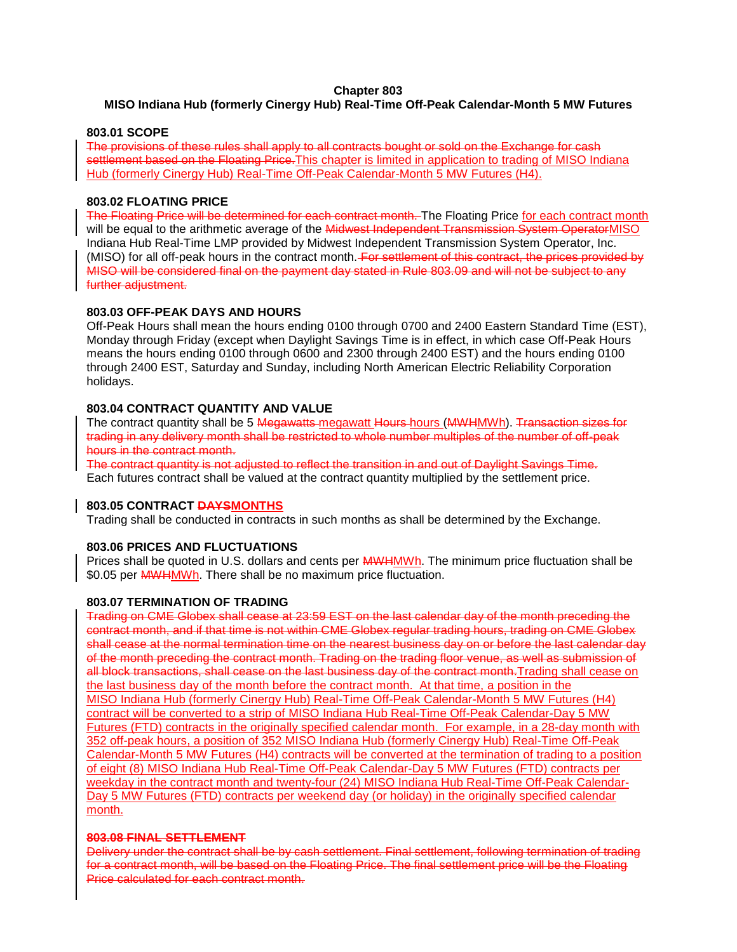# **Chapter 803**

# **MISO Indiana Hub (formerly Cinergy Hub) Real-Time Off-Peak Calendar-Month 5 MW Futures**

### **803.01 SCOPE**

The provisions of these rules shall apply to all contracts bought or sold on the Exchange for cash settlement based on the Floating Price. This chapter is limited in application to trading of MISO Indiana Hub (formerly Cinergy Hub) Real-Time Off-Peak Calendar-Month 5 MW Futures (H4).

# **803.02 FLOATING PRICE**

The Floating Price will be determined for each contract month. The Floating Price for each contract month will be equal to the arithmetic average of the Midwest Independent Transmission System OperatorMISO Indiana Hub Real-Time LMP provided by Midwest Independent Transmission System Operator, Inc. (MISO) for all off-peak hours in the contract month. For settlement of this contract, the prices provided by MISO will be considered final on the payment day stated in Rule 803.09 and will not be subject to any further adjustment.

# **803.03 OFF-PEAK DAYS AND HOURS**

Off-Peak Hours shall mean the hours ending 0100 through 0700 and 2400 Eastern Standard Time (EST), Monday through Friday (except when Daylight Savings Time is in effect, in which case Off-Peak Hours means the hours ending 0100 through 0600 and 2300 through 2400 EST) and the hours ending 0100 through 2400 EST, Saturday and Sunday, including North American Electric Reliability Corporation holidays.

### **803.04 CONTRACT QUANTITY AND VALUE**

The contract quantity shall be 5 Megawatts megawatt Hours hours (MWHMWh). Transaction sizes for trading in any delivery month shall be restricted to whole number multiples of the number of off-peak hours in the contract month.

The contract quantity is not adjusted to reflect the transition in and out of Daylight Savings Time. Each futures contract shall be valued at the contract quantity multiplied by the settlement price.

# **803.05 CONTRACT DAYSMONTHS**

Trading shall be conducted in contracts in such months as shall be determined by the Exchange.

### **803.06 PRICES AND FLUCTUATIONS**

Prices shall be quoted in U.S. dollars and cents per **MWHMWh**. The minimum price fluctuation shall be \$0.05 per **MWHMWh**. There shall be no maximum price fluctuation.

# **803.07 TERMINATION OF TRADING**

Trading on CME Globex shall cease at 23:59 EST on the last calendar day of the month preceding the contract month, and if that time is not within CME Globex regular trading hours, trading on CME Globex shall cease at the normal termination time on the nearest business day on or before the last calendar day of the month preceding the contract month. Trading on the trading floor venue, as well as submission of all block transactions, shall cease on the last business day of the contract month. Trading shall cease on the last business day of the month before the contract month. At that time, a position in the MISO Indiana Hub (formerly Cinergy Hub) Real-Time Off-Peak Calendar-Month 5 MW Futures (H4) contract will be converted to a strip of MISO Indiana Hub Real-Time Off-Peak Calendar-Day 5 MW Futures (FTD) contracts in the originally specified calendar month. For example, in a 28-day month with 352 off-peak hours, a position of 352 MISO Indiana Hub (formerly Cinergy Hub) Real-Time Off-Peak Calendar-Month 5 MW Futures (H4) contracts will be converted at the termination of trading to a position of eight (8) MISO Indiana Hub Real-Time Off-Peak Calendar-Day 5 MW Futures (FTD) contracts per weekday in the contract month and twenty-four (24) MISO Indiana Hub Real-Time Off-Peak Calendar-Day 5 MW Futures (FTD) contracts per weekend day (or holiday) in the originally specified calendar month.

### **803.08 FINAL SETTLEMENT**

Delivery under the contract shall be by cash settlement. Final settlement, following termination of trading for a contract month, will be based on the Floating Price. The final settlement price will be the Floating Price calculated for each contract month.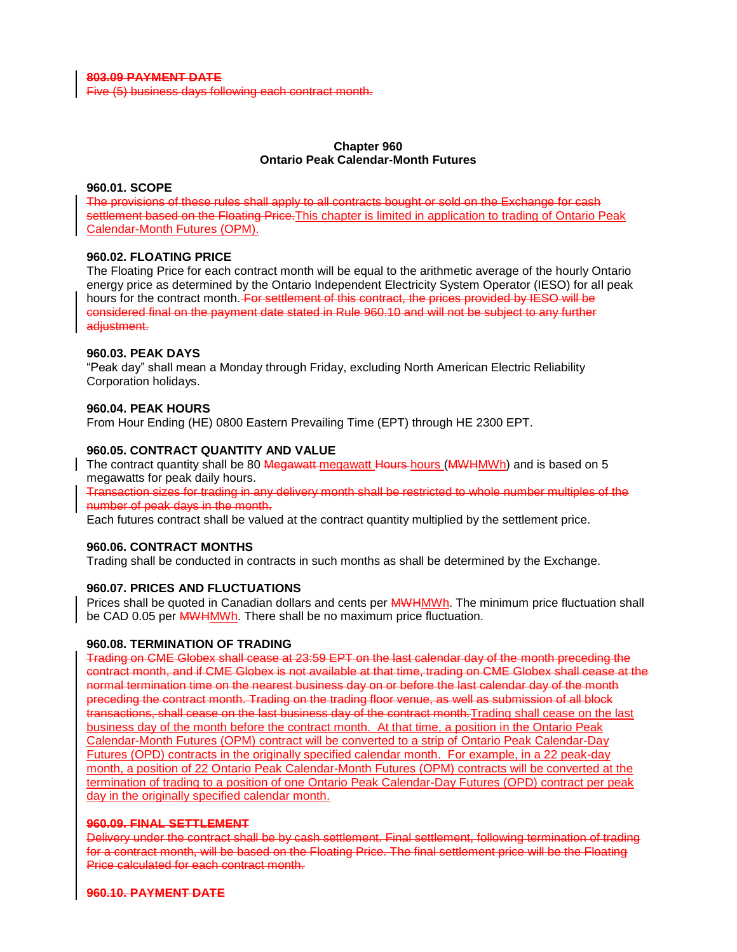**803.09 PAYMENT DATE**

Five (5) business days following each contract month.

### **Chapter 960 Ontario Peak Calendar-Month Futures**

### **960.01. SCOPE**

The provisions of these rules shall apply to all contracts bought or sold on the Exchange for cash settlement based on the Floating Price. This chapter is limited in application to trading of Ontario Peak Calendar-Month Futures (OPM).

### **960.02. FLOATING PRICE**

The Floating Price for each contract month will be equal to the arithmetic average of the hourly Ontario energy price as determined by the Ontario Independent Electricity System Operator (IESO) for all peak hours for the contract month. For settlement of this contract, the prices provided by IESO will be considered final on the payment date stated in Rule 960.10 and will not be subject to any further adjustment.

### **960.03. PEAK DAYS**

"Peak day" shall mean a Monday through Friday, excluding North American Electric Reliability Corporation holidays.

### **960.04. PEAK HOURS**

From Hour Ending (HE) 0800 Eastern Prevailing Time (EPT) through HE 2300 EPT.

### **960.05. CONTRACT QUANTITY AND VALUE**

The contract quantity shall be 80 Megawatt-megawatt Hours-hours (MWHMWh) and is based on 5 megawatts for peak daily hours.

Transaction sizes for trading in any delivery month shall be restricted to whole number multiples of the number of peak days in the month.

Each futures contract shall be valued at the contract quantity multiplied by the settlement price.

### **960.06. CONTRACT MONTHS**

Trading shall be conducted in contracts in such months as shall be determined by the Exchange.

# **960.07. PRICES AND FLUCTUATIONS**

Prices shall be quoted in Canadian dollars and cents per **MWHMWh**. The minimum price fluctuation shall be CAD 0.05 per **MWHMWh**. There shall be no maximum price fluctuation.

### **960.08. TERMINATION OF TRADING**

Trading on CME Globex shall cease at 23:59 EPT on the last calendar day of the month preceding the contract month, and if CME Globex is not available at that time, trading on CME Globex shall cease at the normal termination time on the nearest business day on or before the last calendar day of the month preceding the contract month. Trading on the trading floor venue, as well as submission of all block transactions, shall cease on the last business day of the contract month.Trading shall cease on the last business day of the month before the contract month. At that time, a position in the Ontario Peak Calendar-Month Futures (OPM) contract will be converted to a strip of Ontario Peak Calendar-Day Futures (OPD) contracts in the originally specified calendar month. For example, in a 22 peak-day month, a position of 22 Ontario Peak Calendar-Month Futures (OPM) contracts will be converted at the termination of trading to a position of one Ontario Peak Calendar-Day Futures (OPD) contract per peak day in the originally specified calendar month.

### **960.09. FINAL SETTLEMENT**

Delivery under the contract shall be by cash settlement. Final settlement, following termination of trading for a contract month, will be based on the Floating Price. The final settlement price will be the Floating Price calculated for each contract month.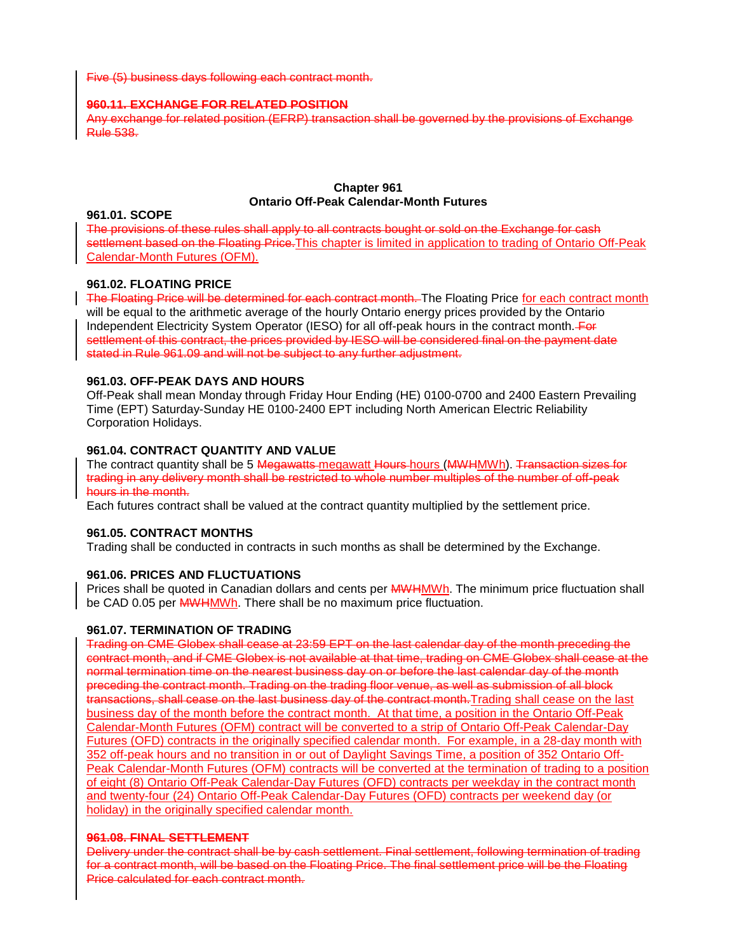Five (5) business days following each contract month.

### **960.11. EXCHANGE FOR RELATED POSITION**

Any exchange for related position (EFRP) transaction shall be governed by the provisions of Exchange Rule 538.

### **Chapter 961 Ontario Off-Peak Calendar-Month Futures**

### **961.01. SCOPE**

The provisions of these rules shall apply to all contracts bought or sold on the Exchange for cash settlement based on the Floating Price. This chapter is limited in application to trading of Ontario Off-Peak Calendar-Month Futures (OFM).

# **961.02. FLOATING PRICE**

The Floating Price will be determined for each contract month. The Floating Price for each contract month will be equal to the arithmetic average of the hourly Ontario energy prices provided by the Ontario Independent Electricity System Operator (IESO) for all off-peak hours in the contract month. For settlement of this contract, the prices provided by IESO will be considered final on the payment date stated in Rule 961.09 and will not be subject to any further adjustment.

# **961.03. OFF-PEAK DAYS AND HOURS**

Off-Peak shall mean Monday through Friday Hour Ending (HE) 0100-0700 and 2400 Eastern Prevailing Time (EPT) Saturday-Sunday HE 0100-2400 EPT including North American Electric Reliability Corporation Holidays.

# **961.04. CONTRACT QUANTITY AND VALUE**

The contract quantity shall be 5 Megawatts megawatt Hours hours (MWHMWh). Transaction sizes for trading in any delivery month shall be restricted to whole number multiples of the number of off-peak hours in the month.

Each futures contract shall be valued at the contract quantity multiplied by the settlement price.

# **961.05. CONTRACT MONTHS**

Trading shall be conducted in contracts in such months as shall be determined by the Exchange.

# **961.06. PRICES AND FLUCTUATIONS**

Prices shall be quoted in Canadian dollars and cents per **MWHMWh**. The minimum price fluctuation shall be CAD 0.05 per **MWHMWh**. There shall be no maximum price fluctuation.

# **961.07. TERMINATION OF TRADING**

Trading on CME Globex shall cease at 23:59 EPT on the last calendar day of the month preceding the contract month, and if CME Globex is not available at that time, trading on CME Globex shall cease at the normal termination time on the nearest business day on or before the last calendar day of the month preceding the contract month. Trading on the trading floor venue, as well as submission of all block transactions, shall cease on the last business day of the contract month. Trading shall cease on the last business day of the month before the contract month. At that time, a position in the Ontario Off-Peak Calendar-Month Futures (OFM) contract will be converted to a strip of Ontario Off-Peak Calendar-Day Futures (OFD) contracts in the originally specified calendar month. For example, in a 28-day month with 352 off-peak hours and no transition in or out of Daylight Savings Time, a position of 352 Ontario Off-Peak Calendar-Month Futures (OFM) contracts will be converted at the termination of trading to a position of eight (8) Ontario Off-Peak Calendar-Day Futures (OFD) contracts per weekday in the contract month and twenty-four (24) Ontario Off-Peak Calendar-Day Futures (OFD) contracts per weekend day (or holiday) in the originally specified calendar month.

### **961.08. FINAL SETTLEMENT**

Delivery under the contract shall be by cash settlement. Final settlement, following termination of trading for a contract month, will be based on the Floating Price. The final settlement price will be the Floating Price calculated for each contract month.